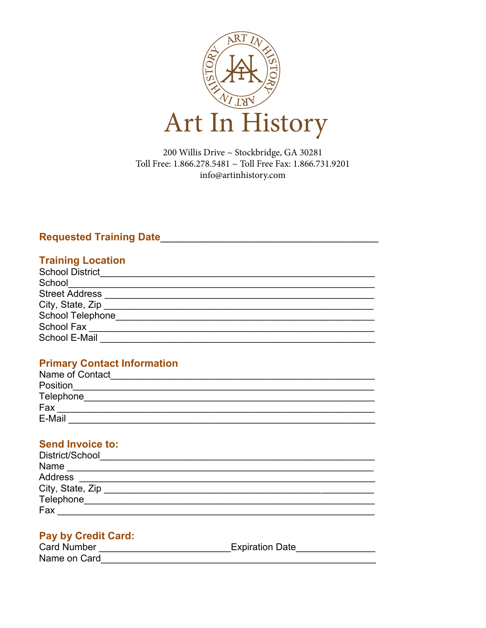

200 Willis Drive ~ Stockbridge, GA 30281 Toll Free: 1.866.278.5481 ~ Toll Free Fax: 1.866.731.9201 n 6.5461 - 1644 I can<br>info@artinhistory.com Stockbridge, GA 30281

## **Requested Training Date**\_\_\_\_\_\_\_\_\_\_\_\_\_\_\_\_\_\_\_\_\_\_\_\_\_\_\_\_\_\_\_\_\_\_\_\_\_\_

### **Training Location**

| <b>School District</b>  |  |
|-------------------------|--|
| School                  |  |
| <b>Street Address</b>   |  |
| City, State, Zip        |  |
| <b>School Telephone</b> |  |
| School Fax              |  |
| School E-Mail           |  |

## **Primary Contact Information**

| Name of Contact |  |
|-----------------|--|
| Position        |  |
| Telephone       |  |
| Fax             |  |
| E-Mail          |  |

# **Send Invoice to:**

| District/School  |  |
|------------------|--|
| Name             |  |
| Address          |  |
| City, State, Zip |  |
| Telephone        |  |
| Fax              |  |

#### **Pay by Credit Card:**

| <b>Card Number</b> | <b>Expiration Date</b> |
|--------------------|------------------------|
| Name on Card       |                        |